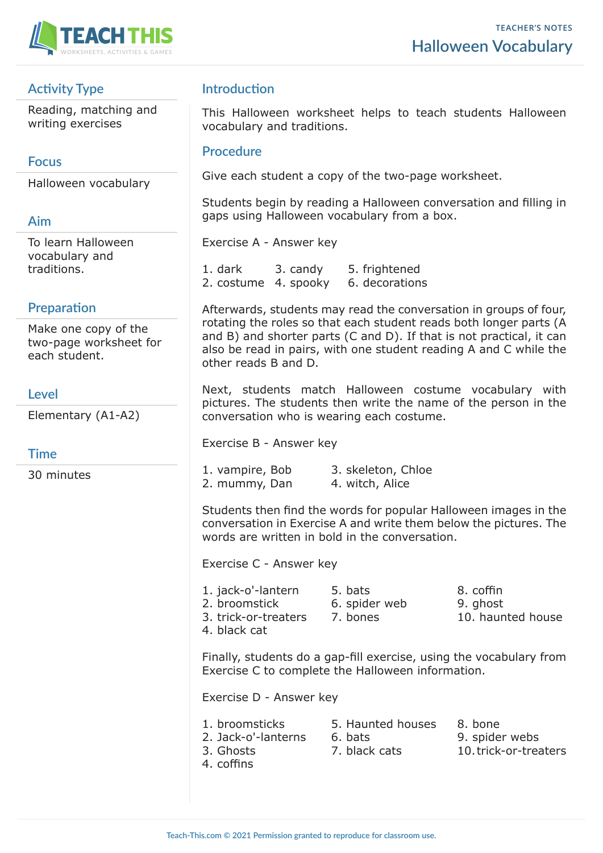

# **Activity Type**

Reading, matching and writing exercises

## **Focus**

Halloween vocabulary

# **Aim**

To learn Halloween vocabulary and traditions.

# **Preparation**

Make one copy of the two-page worksheet for each student.

### **Level**

Elementary (A1-A2)

### **Time**

30 minutes

# **Introduction**

This Halloween worksheet helps to teach students Halloween vocabulary and traditions.

#### **Procedure**

Give each student a copy of the two-page worksheet.

Students begin by reading a Halloween conversation and filling in gaps using Halloween vocabulary from a box.

Exercise A - Answer key

1. dark 3. candy 5. frightened 2. costume 4. spooky 6. decorations

Afterwards, students may read the conversation in groups of four, rotating the roles so that each student reads both longer parts (A and B) and shorter parts (C and D). If that is not practical, it can also be read in pairs, with one student reading A and C while the other reads B and D.

Next, students match Halloween costume vocabulary with pictures. The students then write the name of the person in the conversation who is wearing each costume.

Exercise B - Answer key

| 1. vampire, Bob | 3. skeleton, Chloe |
|-----------------|--------------------|
| 2. mummy, Dan   | 4. witch, Alice    |

Students then find the words for popular Halloween images in the conversation in Exercise A and write them below the pictures. The words are written in bold in the conversation.

Exercise C - Answer key

| 1. jack-o'-lantern   |
|----------------------|
| 2. broomstick        |
| 3. trick-or-treaters |
| 4. black cat         |

1. bats 8. coffin 6. spider web 9. ghost

7. bones 10. haunted house

Finally, students do a gap-fill exercise, using the vocabulary from Exercise C to complete the Halloween information.

Exercise D - Answer key

- 1. broomsticks 5. Haunted houses 8. bone 2. Jack-o'-lanterns 6. bats 9. spider webs 3. Ghosts 7. black cats 10. trick-or-treaters 4. coffins
- **Teach-This.com © 2021 Permission granted to reproduce for classroom use.**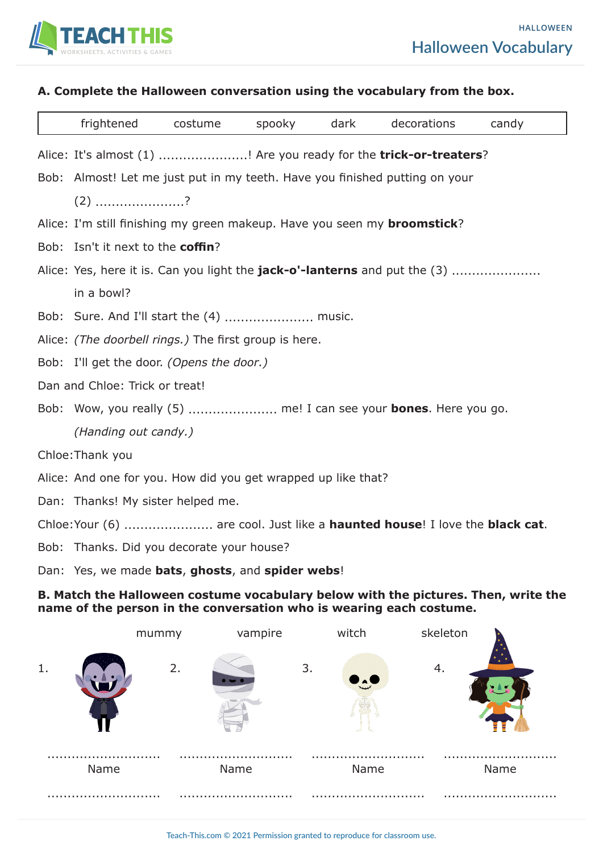

#### **A. Complete the Halloween conversation using the vocabulary from the box.**

|                                                                             | frightened                                                                        | costume | spooky | dark | decorations | candy |  |  |  |  |
|-----------------------------------------------------------------------------|-----------------------------------------------------------------------------------|---------|--------|------|-------------|-------|--|--|--|--|
|                                                                             | Alice: It's almost (1) ! Are you ready for the trick-or-treaters?                 |         |        |      |             |       |  |  |  |  |
|                                                                             | Bob: Almost! Let me just put in my teeth. Have you finished putting on your       |         |        |      |             |       |  |  |  |  |
|                                                                             | $(2)$ ?                                                                           |         |        |      |             |       |  |  |  |  |
|                                                                             | Alice: I'm still finishing my green makeup. Have you seen my <b>broomstick</b> ?  |         |        |      |             |       |  |  |  |  |
|                                                                             | Bob: Isn't it next to the coffin?                                                 |         |        |      |             |       |  |  |  |  |
|                                                                             | Alice: Yes, here it is. Can you light the <b>jack-o'-lanterns</b> and put the (3) |         |        |      |             |       |  |  |  |  |
|                                                                             | in a bowl?                                                                        |         |        |      |             |       |  |  |  |  |
|                                                                             | Bob: Sure. And I'll start the (4)  music.                                         |         |        |      |             |       |  |  |  |  |
|                                                                             | Alice: (The doorbell rings.) The first group is here.                             |         |        |      |             |       |  |  |  |  |
|                                                                             | Bob: I'll get the door. (Opens the door.)                                         |         |        |      |             |       |  |  |  |  |
| Dan and Chloe: Trick or treat!                                              |                                                                                   |         |        |      |             |       |  |  |  |  |
|                                                                             | Bob: Wow, you really (5)  me! I can see your <b>bones</b> . Here you go.          |         |        |      |             |       |  |  |  |  |
|                                                                             | (Handing out candy.)                                                              |         |        |      |             |       |  |  |  |  |
| Chloe: Thank you                                                            |                                                                                   |         |        |      |             |       |  |  |  |  |
|                                                                             | Alice: And one for you. How did you get wrapped up like that?                     |         |        |      |             |       |  |  |  |  |
|                                                                             | Dan: Thanks! My sister helped me.                                                 |         |        |      |             |       |  |  |  |  |
| Chloe: Your (6)  are cool. Just like a haunted house! I love the black cat. |                                                                                   |         |        |      |             |       |  |  |  |  |
|                                                                             | Bob: Thanks. Did you decorate your house?                                         |         |        |      |             |       |  |  |  |  |

Dan: Yes, we made **bats**, **ghosts**, and **spider webs**!

#### **B. Match the Halloween costume vocabulary below with the pictures. Then, write the name of the person in the conversation who is wearing each costume.**